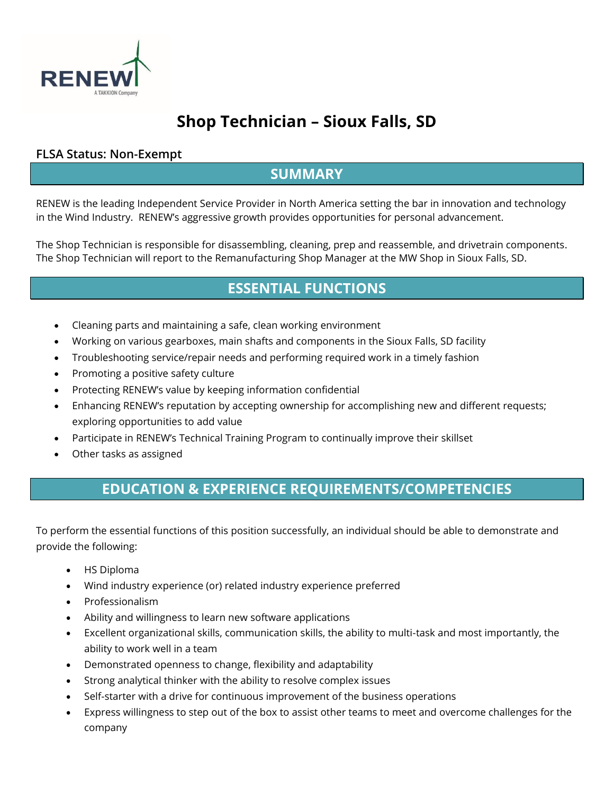

# **Shop Technician – Sioux Falls, SD**

#### **FLSA Status: Non-Exempt**

### **SUMMARY**

RENEW is the leading Independent Service Provider in North America setting the bar in innovation and technology in the Wind Industry. RENEW's aggressive growth provides opportunities for personal advancement.

The Shop Technician is responsible for disassembling, cleaning, prep and reassemble, and drivetrain components. The Shop Technician will report to the Remanufacturing Shop Manager at the MW Shop in Sioux Falls, SD.

### **ESSENTIAL FUNCTIONS**

- Cleaning parts and maintaining a safe, clean working environment
- Working on various gearboxes, main shafts and components in the Sioux Falls, SD facility
- Troubleshooting service/repair needs and performing required work in a timely fashion
- Promoting a positive safety culture
- Protecting RENEW's value by keeping information confidential
- Enhancing RENEW's reputation by accepting ownership for accomplishing new and different requests; exploring opportunities to add value
- Participate in RENEW's Technical Training Program to continually improve their skillset
- Other tasks as assigned

#### **EDUCATION & EXPERIENCE REQUIREMENTS/COMPETENCIES**

To perform the essential functions of this position successfully, an individual should be able to demonstrate and provide the following:

- HS Diploma
- Wind industry experience (or) related industry experience preferred
- Professionalism
- Ability and willingness to learn new software applications
- Excellent organizational skills, communication skills, the ability to multi-task and most importantly, the ability to work well in a team
- Demonstrated openness to change, flexibility and adaptability
- Strong analytical thinker with the ability to resolve complex issues
- Self-starter with a drive for continuous improvement of the business operations
- Express willingness to step out of the box to assist other teams to meet and overcome challenges for the company